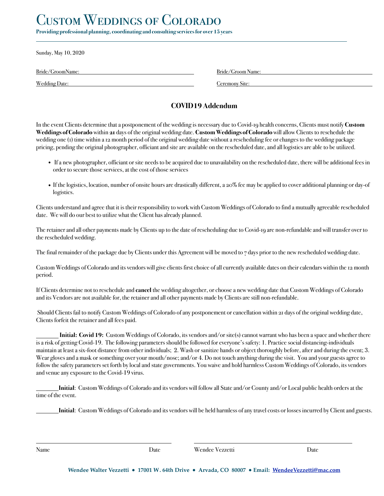# CUSTOM WEDDINGS OF COLORADO

**Providing professional planning, coordinating and consulting services for over 15 years**

Sunday, May 10, 2020

l

Bride/GroomName: Bride/Groom Name:

Wedding Date: Ceremony Site:

## **COVID19 Addendum**

In the event Clients determine that a postponement of the wedding is necessary due to Covid-19 health concerns, Clients must notify **Custom Weddings of Colorado** within **21** days of the original wedding date. **Custom Weddings of Colorado** will allow Clients to reschedule the wedding one (1) time within a 12 month period of the original wedding date without a rescheduling fee or changes to the wedding package pricing, pending the original photographer, officiant and site are available on the rescheduled date, and all logistics are able to be utilized.

- If a new photographer, officiant or site needs to be acquired due to unavailability on the rescheduled date, there will be additional fees in order to secure those services, at the cost of those services
- If the logistics, location, number of onsite hours are drastically different, a 20% fee may be applied to cover additional planning or day-of logistics.

Clients understand and agree that it is their responsibility to work with Custom Weddings of Colorado to find a mutually agreeable rescheduled date. We will do our best to utilize what the Client has already planned.

The retainer and all other payments made by Clients up to the date of rescheduling due to Covid-19 are non-refundable and will transfer over to the rescheduled wedding.

The final remainder of the package due by Clients under this Agreement will be moved to  $\tau$  days prior to the new rescheduled wedding date.

Custom Weddings of Colorado and its vendors will give clients first choice of all currently available dates on their calendars within the 12 month period.

If Clients determine not to reschedule and **cancel** the wedding altogether, or choose a new wedding date that Custom Weddings of Colorado and its Vendors are not available for, the retainer and all other payments made by Clients are still non-refundable.

 Should Clients fail to notify Custom Weddings of Colorado of any postponement or cancellation within 21 days of the original wedding date, Clients forfeit the retainer and all fees paid.

 **Initial: Covid 19:** Custom Weddings of Colorado, its vendors and/or site(s) cannot warrant who has been a space and whether there is a risk of getting Covid-19. The following parameters should be followed for everyone's safety: 1. Practice social distancing-individuals maintain at least a six-foot distance from other individuals; 2. Wash or sanitize hands or object thoroughly before, after and during the event; 3. Wear gloves and a mask or something over your mouth/nose; and/or 4. Do not touch anything during the visit. You and your guests agree to follow the safety parameters set forth by local and state governments. You waive and hold harmless Custom Weddings of Colorado, its vendors and venue any exposure to the Covid-19 virus.

**Initial**: Custom Weddings of Colorado and its vendors will follow all State and/or County and/or Local public health orders at the time of the event.

**Initial**: Custom Weddings of Colorado and its vendors will be held harmless of any travel costs or losses incurred by Client and guests.

 $\overline{a}$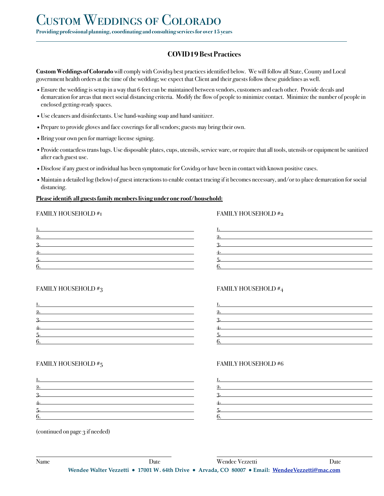# **COVID19 Best Practices**

**Custom Weddings of Colorado** will comply with Covidro best practices identified below. We will follow all State, County and Local government health orders at the time of the wedding; we expect that Client and their guests follow these guidelines as well.

- •Ensure the wedding is setup in a way that 6 feet can be maintained between vendors, customers and each other. Provide decals and demarcation for areas that meet social distancing criteria. Modify the flow of people to minimize contact. Minimize the number of people in enclosed getting-ready spaces.
- •Use cleaners and disinfectants. Use hand-washing soap and hand sanitizer.
- •Prepare to provide gloves and face coverings for all vendors; guests may bring their own.
- •Bring your own pen for marriage license signing.
- •Provide contactless trans bags. Use disposable plates, cups, utensils, service ware, or require that all tools, utensils or equipment be sanitized after each guest use.
- •Disclose if any guest or individual has been symptomatic for Covid19 or have been in contact with known positive cases.
- •Maintain a detailed log (below) of guest interactions to enable contact tracing if it becomes necessary, and/or to place demarcation for social distancing.

### **Please identify all guests family members living under one roof/household:**

### FAMILY HOUSEHOLD #1 FAMILY HOUSEHOLD #2

l

| Ι.               | Ι.    |
|------------------|-------|
| 2.               | 2.    |
| <u>3.</u>        | $3 -$ |
| $\overline{4}$ . | 4.    |
| $5 -$            | $5 -$ |
| 6.               | 6.    |

### FAMILY HOUSEHOLD  $\#_3$  FAMILY HOUSEHOLD  $\#_4$

| Ι.    | Ι.    |
|-------|-------|
| 2.    | 2.    |
| $3 -$ | $3 -$ |
| 4.    | 4.    |
|       | 5.    |
| 6.    | 6.    |

### FAMILY HOUSEHOLD #5 FAMILY HOUSEHOLD #6

| Ι.    | Ι.    |
|-------|-------|
| 2.    | 2.    |
| $3 -$ | $3 -$ |
| 4.    | 4.    |
| $5 -$ | 5.    |
| 6.    | 6.    |

(continued on page 3 if needed)

 $\overline{a}$